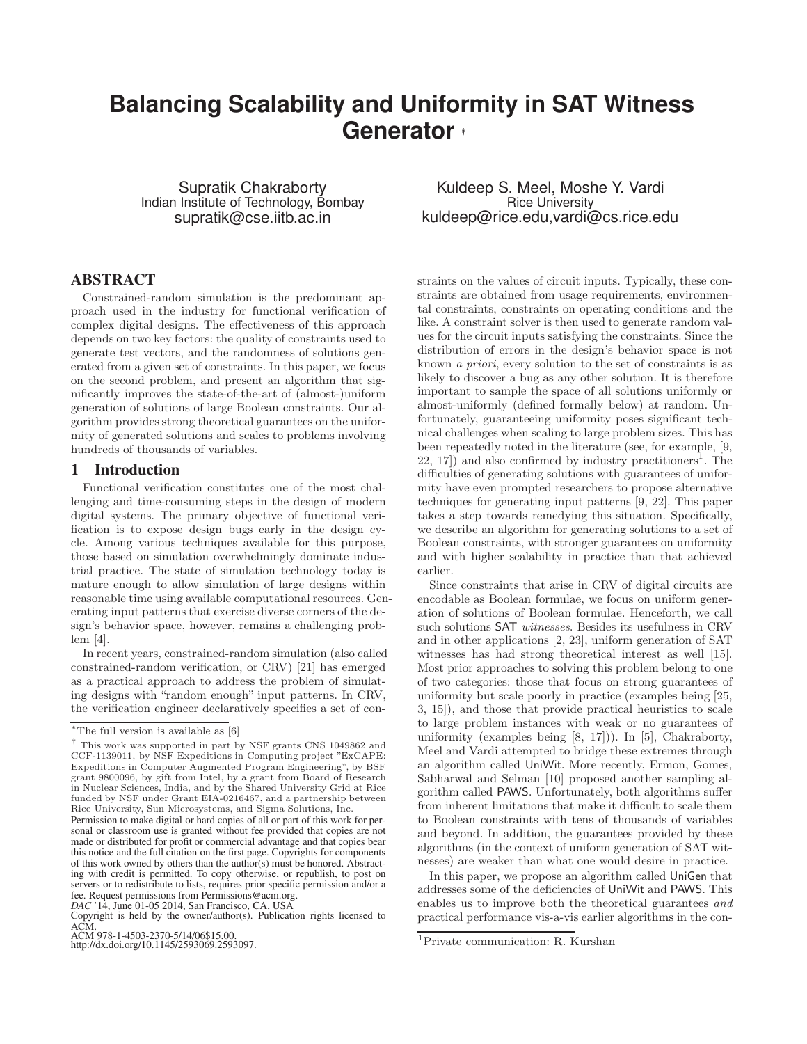# **Balancing Scalability and Uniformity in SAT Witness Generator** <sup>∗</sup>†

Supratik Chakraborty Indian Institute of Technology, Bombay supratik@cse.iitb.ac.in

## ABSTRACT

Constrained-random simulation is the predominant approach used in the industry for functional verification of complex digital designs. The effectiveness of this approach depends on two key factors: the quality of constraints used to generate test vectors, and the randomness of solutions generated from a given set of constraints. In this paper, we focus on the second problem, and present an algorithm that significantly improves the state-of-the-art of (almost-)uniform generation of solutions of large Boolean constraints. Our algorithm provides strong theoretical guarantees on the uniformity of generated solutions and scales to problems involving hundreds of thousands of variables.

## 1 Introduction

Functional verification constitutes one of the most challenging and time-consuming steps in the design of modern digital systems. The primary objective of functional verification is to expose design bugs early in the design cycle. Among various techniques available for this purpose, those based on simulation overwhelmingly dominate industrial practice. The state of simulation technology today is mature enough to allow simulation of large designs within reasonable time using available computational resources. Generating input patterns that exercise diverse corners of the design's behavior space, however, remains a challenging problem [\[4\]](#page-5-0).

In recent years, constrained-random simulation (also called constrained-random verification, or CRV) [\[21\]](#page-5-1) has emerged as a practical approach to address the problem of simulating designs with "random enough" input patterns. In CRV, the verification engineer declaratively specifies a set of con-

ACM 978-1-4503-2370-5/14/06\$15.00. http://dx.doi.org/10.1145/2593069.2593097.

Kuldeep S. Meel, Moshe Y. Vardi Rice University kuldeep@rice.edu,vardi@cs.rice.edu

straints on the values of circuit inputs. Typically, these constraints are obtained from usage requirements, environmental constraints, constraints on operating conditions and the like. A constraint solver is then used to generate random values for the circuit inputs satisfying the constraints. Since the distribution of errors in the design's behavior space is not known a priori, every solution to the set of constraints is as likely to discover a bug as any other solution. It is therefore important to sample the space of all solutions uniformly or almost-uniformly (defined formally below) at random. Unfortunately, guaranteeing uniformity poses significant technical challenges when scaling to large problem sizes. This has been repeatedly noted in the literature (see, for example, [\[9,](#page-5-3)  $22, 17$  $22, 17$  $22, 17$  $22, 17$ ) and also confirmed by industry practitioners<sup>1</sup>. The difficulties of generating solutions with guarantees of uniformity have even prompted researchers to propose alternative techniques for generating input patterns [\[9,](#page-5-3) [22\]](#page-5-4). This paper takes a step towards remedying this situation. Specifically, we describe an algorithm for generating solutions to a set of Boolean constraints, with stronger guarantees on uniformity and with higher scalability in practice than that achieved earlier.

Since constraints that arise in CRV of digital circuits are encodable as Boolean formulae, we focus on uniform generation of solutions of Boolean formulae. Henceforth, we call such solutions SAT witnesses. Besides its usefulness in CRV and in other applications [\[2,](#page-5-6) [23\]](#page-5-7), uniform generation of SAT witnesses has had strong theoretical interest as well [\[15\]](#page-5-8). Most prior approaches to solving this problem belong to one of two categories: those that focus on strong guarantees of uniformity but scale poorly in practice (examples being [\[25,](#page-5-9) [3,](#page-5-10) [15\]](#page-5-8)), and those that provide practical heuristics to scale to large problem instances with weak or no guarantees of uniformity (examples being [\[8,](#page-5-11) [17\]](#page-5-5))). In [\[5\]](#page-5-12), Chakraborty, Meel and Vardi attempted to bridge these extremes through an algorithm called UniWit. More recently, Ermon, Gomes, Sabharwal and Selman [\[10\]](#page-5-13) proposed another sampling algorithm called PAWS. Unfortunately, both algorithms suffer from inherent limitations that make it difficult to scale them to Boolean constraints with tens of thousands of variables and beyond. In addition, the guarantees provided by these algorithms (in the context of uniform generation of SAT witnesses) are weaker than what one would desire in practice.

In this paper, we propose an algorithm called UniGen that addresses some of the deficiencies of UniWit and PAWS. This enables us to improve both the theoretical guarantees and practical performance vis-a-vis earlier algorithms in the con-

 $*$ The full version is available as [\[6\]](#page-5-2)

<sup>†</sup> This work was supported in part by NSF grants CNS 1049862 and CCF-1139011, by NSF Expeditions in Computing project "ExCAPE: Expeditions in Computer Augmented Program Engineering", by BSF grant 9800096, by gift from Intel, by a grant from Board of Research in Nuclear Sciences, India, and by the Shared University Grid at Rice funded by NSF under Grant EIA-0216467, and a partnership between Rice University, Sun Microsystems, and Sigma Solutions, Inc.

Permission to make digital or hard copies of all or part of this work for personal or classroom use is granted without fee provided that copies are not made or distributed for profit or commercial advantage and that copies bear this notice and the full citation on the first page. Copyrights for components of this work owned by others than the author(s) must be honored. Abstracting with credit is permitted. To copy otherwise, or republish, to post on servers or to redistribute to lists, requires prior specific permission and/or a fee. Request permissions from Permissions@acm.org.

*DAC* '14, June 01-05 2014, San Francisco, CA, USA Copyright is held by the owner/author(s). Publication rights licensed to ACM.

<span id="page-0-0"></span><sup>1</sup>Private communication: R. Kurshan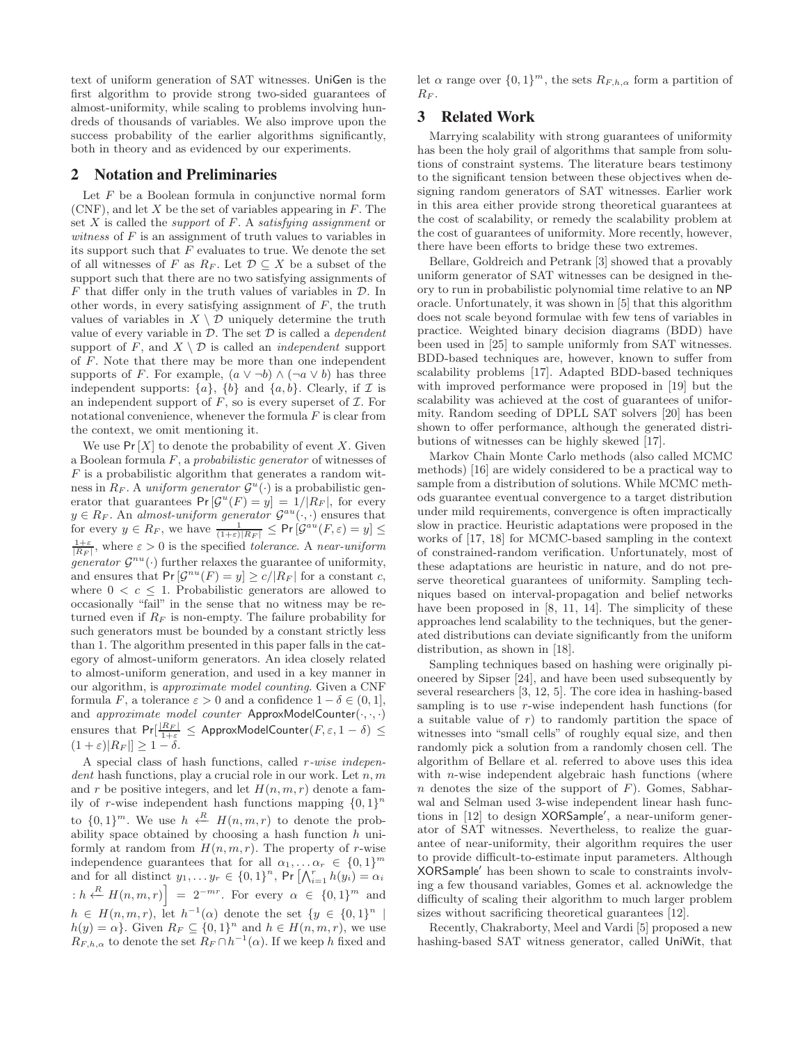text of uniform generation of SAT witnesses. UniGen is the first algorithm to provide strong two-sided guarantees of almost-uniformity, while scaling to problems involving hundreds of thousands of variables. We also improve upon the success probability of the earlier algorithms significantly, both in theory and as evidenced by our experiments.

### <span id="page-1-0"></span>2 Notation and Preliminaries

Let  $F$  be a Boolean formula in conjunctive normal form  $(CNF)$ , and let X be the set of variables appearing in  $F$ . The set  $X$  is called the *support* of  $F$ . A *satisfying assignment* or witness of  $F$  is an assignment of truth values to variables in its support such that  $F$  evaluates to true. We denote the set of all witnesses of F as  $R_F$ . Let  $\mathcal{D} \subseteq X$  be a subset of the support such that there are no two satisfying assignments of  $F$  that differ only in the truth values of variables in  $\mathcal{D}$ . In other words, in every satisfying assignment of  $F$ , the truth values of variables in  $X \setminus \mathcal{D}$  uniquely determine the truth value of every variable in  $D$ . The set  $D$  is called a *dependent* support of F, and  $X \setminus \mathcal{D}$  is called an *independent* support of F. Note that there may be more than one independent supports of F. For example,  $(a \vee \neg b) \wedge (\neg a \vee b)$  has three independent supports:  $\{a\}$ ,  $\{b\}$  and  $\{a, b\}$ . Clearly, if  $\mathcal I$  is an independent support of  $F$ , so is every superset of  $\mathcal I$ . For notational convenience, whenever the formula  $F$  is clear from the context, we omit mentioning it.

We use  $Pr[X]$  to denote the probability of event X. Given a Boolean formula F, a probabilistic generator of witnesses of  $F$  is a probabilistic algorithm that generates a random witness in  $R_F$ . A uniform generator  $\mathcal{G}^u(\cdot)$  is a probabilistic generator that guarantees  $Pr[\mathcal{G}^u(F) = y] = 1/|R_F|$ , for every  $y \in R_F$ . An almost-uniform generator  $\mathcal{G}^{au}(\cdot, \cdot)$  ensures that for every  $y \in R_F$ , we have  $\frac{1}{(1+\varepsilon)|R_F|} \leq \Pr\left[\mathcal{G}^{au}(F,\varepsilon) = y\right] \leq \frac{1+\varepsilon}{|R_F|}$ , where  $\varepsilon > 0$  is the specified *tolerance*. A *near-uniform* generator  $\mathcal{G}^{nu}(\cdot)$  further relaxes the guarantee of uniformity, and ensures that  $Pr[\mathcal{G}^{nu}(F) = y] \ge c/|R_F|$  for a constant c, where  $0 < c \leq 1$ . Probabilistic generators are allowed to occasionally "fail" in the sense that no witness may be returned even if  $R_F$  is non-empty. The failure probability for such generators must be bounded by a constant strictly less than 1. The algorithm presented in this paper falls in the category of almost-uniform generators. An idea closely related to almost-uniform generation, and used in a key manner in our algorithm, is approximate model counting. Given a CNF formula F, a tolerance  $\varepsilon > 0$  and a confidence  $1 - \delta \in (0, 1]$ , and approximate model counter ApproxModelCounter $(\cdot,\cdot,\cdot)$ ensures that  $Pr[\frac{|R_F|}{1+\varepsilon} \le$  ApproxModelCounter $(F, \varepsilon, 1-\delta) \le$  $(1+\varepsilon)|R_F| \geq 1-\delta.$ 

A special class of hash functions, called r-wise indepen $dent$  hash functions, play a crucial role in our work. Let  $n, m$ and r be positive integers, and let  $H(n, m, r)$  denote a family of r-wise independent hash functions mapping  $\{0,1\}^n$ to  $\{0,1\}^m$ . We use  $h \leftarrow H(n, m, r)$  to denote the probability space obtained by choosing a hash function  $h$  uniformly at random from  $H(n, m, r)$ . The property of r-wise independence guarantees that for all  $\alpha_1, \ldots \alpha_r \in \{0,1\}^m$ and for all distinct  $y_1, \ldots y_r \in \{0,1\}^n$ , Pr  $\left[\bigwedge_{i=1}^r h(y_i)\right] = \alpha_i$  $\left\{h \stackrel{R}{\leftarrow} H(n,m,r)\right\} = 2^{-mr}$ . For every  $\alpha \in \{0,1\}^m$  and  $h \in H(n,m,r)$ , let  $h^{-1}(\alpha)$  denote the set  $\{y \in \{0,1\}^n \mid$  $h(y) = \alpha$ . Given  $R_F \subseteq \{0,1\}^n$  and  $h \in H(n,m,r)$ , we use  $R_{F,h,\alpha}$  to denote the set  $R_F \cap h^{-1}(\alpha)$ . If we keep h fixed and let  $\alpha$  range over  $\{0,1\}^m$ , the sets  $R_{F,h,\alpha}$  form a partition of  $R_F$ .

# 3 Related Work

Marrying scalability with strong guarantees of uniformity has been the holy grail of algorithms that sample from solutions of constraint systems. The literature bears testimony to the significant tension between these objectives when designing random generators of SAT witnesses. Earlier work in this area either provide strong theoretical guarantees at the cost of scalability, or remedy the scalability problem at the cost of guarantees of uniformity. More recently, however, there have been efforts to bridge these two extremes.

Bellare, Goldreich and Petrank [\[3\]](#page-5-10) showed that a provably uniform generator of SAT witnesses can be designed in theory to run in probabilistic polynomial time relative to an NP oracle. Unfortunately, it was shown in [\[5\]](#page-5-12) that this algorithm does not scale beyond formulae with few tens of variables in practice. Weighted binary decision diagrams (BDD) have been used in [\[25\]](#page-5-9) to sample uniformly from SAT witnesses. BDD-based techniques are, however, known to suffer from scalability problems [\[17\]](#page-5-5). Adapted BDD-based techniques with improved performance were proposed in [\[19\]](#page-5-14) but the scalability was achieved at the cost of guarantees of uniformity. Random seeding of DPLL SAT solvers [\[20\]](#page-5-15) has been shown to offer performance, although the generated distributions of witnesses can be highly skewed [\[17\]](#page-5-5).

Markov Chain Monte Carlo methods (also called MCMC methods) [\[16\]](#page-5-16) are widely considered to be a practical way to sample from a distribution of solutions. While MCMC methods guarantee eventual convergence to a target distribution under mild requirements, convergence is often impractically slow in practice. Heuristic adaptations were proposed in the works of [\[17,](#page-5-5) [18\]](#page-5-17) for MCMC-based sampling in the context of constrained-random verification. Unfortunately, most of these adaptations are heuristic in nature, and do not preserve theoretical guarantees of uniformity. Sampling techniques based on interval-propagation and belief networks have been proposed in [\[8,](#page-5-11) [11,](#page-5-18) [14\]](#page-5-19). The simplicity of these approaches lend scalability to the techniques, but the generated distributions can deviate significantly from the uniform distribution, as shown in [\[18\]](#page-5-17).

Sampling techniques based on hashing were originally pioneered by Sipser [\[24\]](#page-5-20), and have been used subsequently by several researchers [\[3,](#page-5-10) [12,](#page-5-21) [5\]](#page-5-12). The core idea in hashing-based sampling is to use r-wise independent hash functions (for a suitable value of  $r$ ) to randomly partition the space of witnesses into "small cells" of roughly equal size, and then randomly pick a solution from a randomly chosen cell. The algorithm of Bellare et al. referred to above uses this idea with *n*-wise independent algebraic hash functions (where n denotes the size of the support of  $F$ ). Gomes, Sabharwal and Selman used 3-wise independent linear hash functions in [\[12\]](#page-5-21) to design XORSample′ , a near-uniform generator of SAT witnesses. Nevertheless, to realize the guarantee of near-uniformity, their algorithm requires the user to provide difficult-to-estimate input parameters. Although XORSample′ has been shown to scale to constraints involving a few thousand variables, Gomes et al. acknowledge the difficulty of scaling their algorithm to much larger problem sizes without sacrificing theoretical guarantees [\[12\]](#page-5-21).

Recently, Chakraborty, Meel and Vardi [\[5\]](#page-5-12) proposed a new hashing-based SAT witness generator, called UniWit, that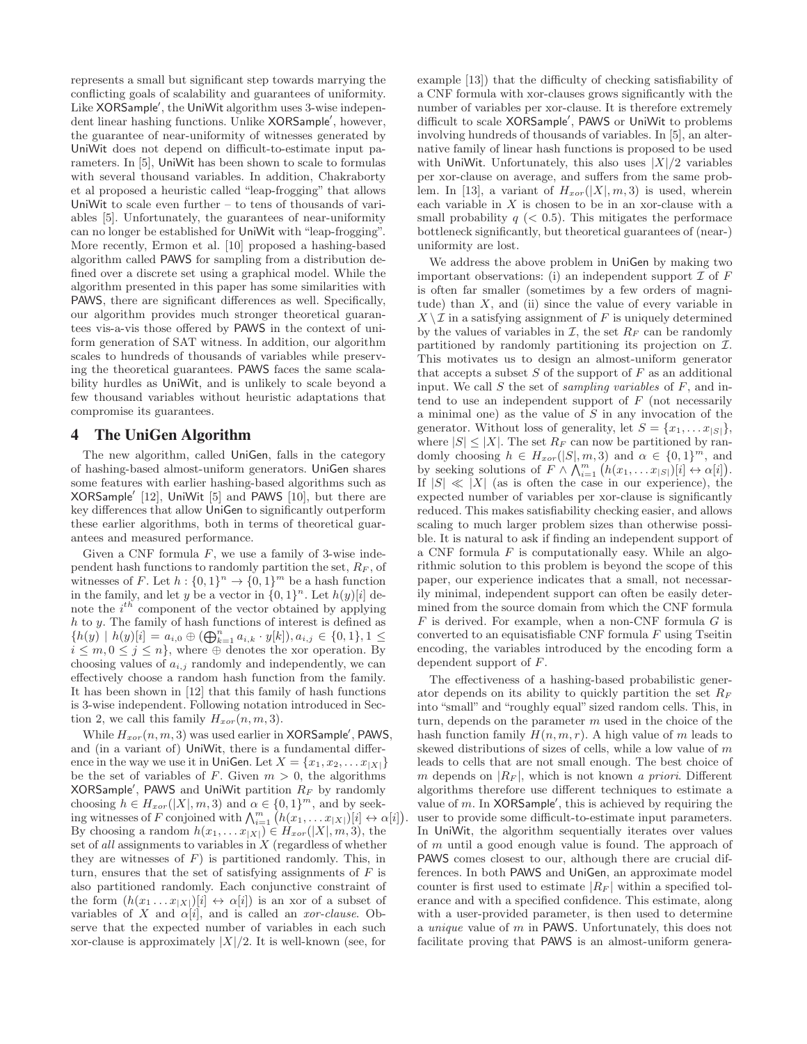represents a small but significant step towards marrying the conflicting goals of scalability and guarantees of uniformity. Like XORSample′ , the UniWit algorithm uses 3-wise independent linear hashing functions. Unlike XORSample′ , however, the guarantee of near-uniformity of witnesses generated by UniWit does not depend on difficult-to-estimate input parameters. In [\[5\]](#page-5-12), UniWit has been shown to scale to formulas with several thousand variables. In addition, Chakraborty et al proposed a heuristic called "leap-frogging" that allows UniWit to scale even further – to tens of thousands of variables [\[5\]](#page-5-12). Unfortunately, the guarantees of near-uniformity can no longer be established for UniWit with "leap-frogging". More recently, Ermon et al. [\[10\]](#page-5-13) proposed a hashing-based algorithm called PAWS for sampling from a distribution defined over a discrete set using a graphical model. While the algorithm presented in this paper has some similarities with PAWS, there are significant differences as well. Specifically, our algorithm provides much stronger theoretical guarantees vis-a-vis those offered by PAWS in the context of uniform generation of SAT witness. In addition, our algorithm scales to hundreds of thousands of variables while preserving the theoretical guarantees. PAWS faces the same scalability hurdles as UniWit, and is unlikely to scale beyond a few thousand variables without heuristic adaptations that compromise its guarantees.

### <span id="page-2-0"></span>4 The UniGen Algorithm

The new algorithm, called UniGen, falls in the category of hashing-based almost-uniform generators. UniGen shares some features with earlier hashing-based algorithms such as XORSample′ [\[12\]](#page-5-21), UniWit [\[5\]](#page-5-12) and PAWS [\[10\]](#page-5-13), but there are key differences that allow UniGen to significantly outperform these earlier algorithms, both in terms of theoretical guarantees and measured performance.

Given a CNF formula  $F$ , we use a family of 3-wise independent hash functions to randomly partition the set,  $R_F$ , of witnesses of F. Let  $h : \{0,1\}^n \to \{0,1\}^m$  be a hash function in the family, and let y be a vector in  $\{0,1\}^n$ . Let  $h(y)[i]$  denote the  $i^{th}$  component of the vector obtained by applying h to y. The family of hash functions of interest is defined as  ${h(y) | h(y)[i] = a_{i,0} \oplus (\bigoplus_{k=1}^{n} a_{i,k} \cdot y[k]), a_{i,j} \in \{0,1\}, 1 \leq$  $i \leq m, 0 \leq j \leq n$ , where  $\oplus$  denotes the xor operation. By choosing values of  $a_{i,j}$  randomly and independently, we can effectively choose a random hash function from the family. It has been shown in [\[12\]](#page-5-21) that this family of hash functions is 3-wise independent. Following notation introduced in Sec-tion [2,](#page-1-0) we call this family  $H_{xor}(n, m, 3)$ .

While  $H_{xor}(n, m, 3)$  was used earlier in XORSample', PAWS, and (in a variant of) UniWit, there is a fundamental difference in the way we use it in UniGen. Let  $X = \{x_1, x_2, \ldots x_{|X|}\}\$ be the set of variables of F. Given  $m > 0$ , the algorithms <code>XORSample</code> , <code>PAWS</code> and <code>UniWit</code> partition  $R_F$  by randomly choosing  $h \in H_{xor}(|X|, m, 3)$  and  $\alpha \in \{0, 1\}^m$ , and by seeking witnesses of F conjoined with  $\bigwedge_{i=1}^{m} (h(x_1, \ldots, x_{|X|})[i] \leftrightarrow \alpha[i]).$ By choosing a random  $h(x_1,...x_{|X|}) \in H_{xor}(|X|, m, 3)$ , the set of all assignments to variables in X (regardless of whether they are witnesses of  $F$ ) is partitioned randomly. This, in turn, ensures that the set of satisfying assignments of  $F$  is also partitioned randomly. Each conjunctive constraint of the form  $(h(x_1 \ldots x_{|X|})[i] \leftrightarrow \alpha[i])$  is an xor of a subset of variables of X and  $\alpha[i]$ , and is called an *xor-clause*. Observe that the expected number of variables in each such xor-clause is approximately  $|X|/2$ . It is well-known (see, for

example [\[13\]](#page-5-22)) that the difficulty of checking satisfiability of a CNF formula with xor-clauses grows significantly with the number of variables per xor-clause. It is therefore extremely difficult to scale XORSample′ , PAWS or UniWit to problems involving hundreds of thousands of variables. In [\[5\]](#page-5-12), an alternative family of linear hash functions is proposed to be used with UniWit. Unfortunately, this also uses  $|X|/2$  variables per xor-clause on average, and suffers from the same prob-lem. In [\[13\]](#page-5-22), a variant of  $H_{xor}(|X|, m, 3)$  is used, wherein each variable in  $X$  is chosen to be in an xor-clause with a small probability  $q \, \langle \, 0.5 \rangle$ . This mitigates the performace bottleneck significantly, but theoretical guarantees of (near-) uniformity are lost.

We address the above problem in UniGen by making two important observations: (i) an independent support  $\mathcal I$  of  $F$ is often far smaller (sometimes by a few orders of magnitude) than  $X$ , and (ii) since the value of every variable in  $X \setminus \mathcal{I}$  in a satisfying assignment of F is uniquely determined by the values of variables in  $\mathcal{I}$ , the set  $R_F$  can be randomly partitioned by randomly partitioning its projection on  $\mathcal{I}$ . This motivates us to design an almost-uniform generator that accepts a subset  $S$  of the support of  $F$  as an additional input. We call  $S$  the set of *sampling variables* of  $F$ , and intend to use an independent support of  $F$  (not necessarily a minimal one) as the value of S in any invocation of the generator. Without loss of generality, let  $S = \{x_1, \ldots x_{|S|}\},\$ where  $|S| \leq |X|$ . The set  $R_F$  can now be partitioned by randomly choosing  $h \in H_{xor}(|S|, m, 3)$  and  $\alpha \in \{0, 1\}^m$ , and by seeking solutions of  $F \wedge \bigwedge_{i=1}^{m} (h(x_1, \ldots x_{|S|})[i] \leftrightarrow \alpha[i]).$ If  $|S| \ll |X|$  (as is often the case in our experience), the expected number of variables per xor-clause is significantly reduced. This makes satisfiability checking easier, and allows scaling to much larger problem sizes than otherwise possible. It is natural to ask if finding an independent support of a CNF formula  $F$  is computationally easy. While an algorithmic solution to this problem is beyond the scope of this paper, our experience indicates that a small, not necessarily minimal, independent support can often be easily determined from the source domain from which the CNF formula  $F$  is derived. For example, when a non-CNF formula  $G$  is converted to an equisatisfiable CNF formula  $F$  using Tseitin encoding, the variables introduced by the encoding form a dependent support of F.

The effectiveness of a hashing-based probabilistic generator depends on its ability to quickly partition the set  $R_F$ into "small" and "roughly equal" sized random cells. This, in turn, depends on the parameter  $m$  used in the choice of the hash function family  $H(n, m, r)$ . A high value of m leads to skewed distributions of sizes of cells, while a low value of m leads to cells that are not small enough. The best choice of m depends on  $|R_F|$ , which is not known a priori. Different algorithms therefore use different techniques to estimate a value of  $m$ . In XORSample', this is achieved by requiring the user to provide some difficult-to-estimate input parameters. In UniWit, the algorithm sequentially iterates over values of m until a good enough value is found. The approach of PAWS comes closest to our, although there are crucial differences. In both PAWS and UniGen, an approximate model counter is first used to estimate  $|R_F|$  within a specified tolerance and with a specified confidence. This estimate, along with a user-provided parameter, is then used to determine a unique value of m in PAWS. Unfortunately, this does not facilitate proving that PAWS is an almost-uniform genera-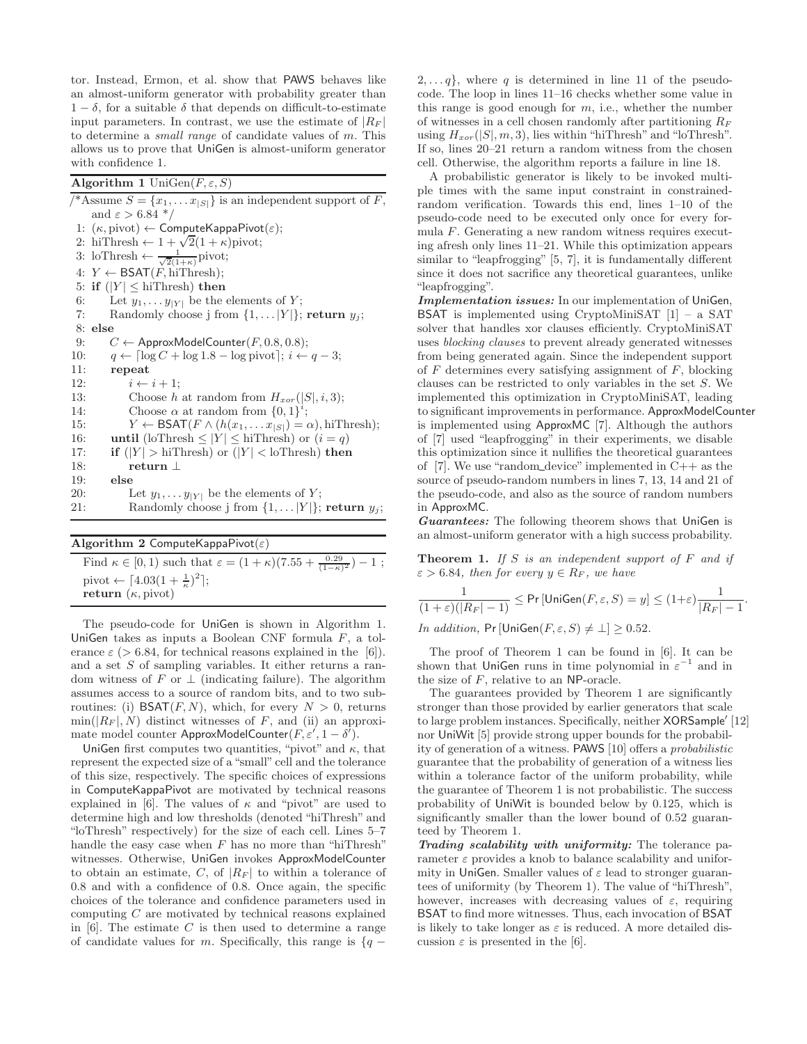tor. Instead, Ermon, et al. show that PAWS behaves like an almost-uniform generator with probability greater than  $1 - \delta$ , for a suitable  $\delta$  that depends on difficult-to-estimate input parameters. In contrast, we use the estimate of  $|R_F|$ to determine a small range of candidate values of m. This allows us to prove that UniGen is almost-uniform generator with confidence 1.

<span id="page-3-0"></span>Algorithm 1 UniGen $(F, \varepsilon, S)$ 

/\*Assume  $S = \{x_1, \ldots x_{|S|}\}\$ is an independent support of F, and  $\varepsilon > 6.84$  \*/ 1:  $(\kappa, \text{pivot}) \leftarrow \text{ComputeKappaPivot}(\varepsilon);$ 2: hiThresh  $\leftarrow 1 + \sqrt{2}(1 + \kappa)$ pivot; 3: loThresh  $\leftarrow \frac{1}{\sqrt{2}(1+\kappa)}$ pivot; 4:  $Y \leftarrow \mathsf{BSAT}(F, \text{hithresh});$ 5: if  $(|Y| \leq$  hiThresh) then<br>6: Let  $y_1, \ldots y_{|Y|}$  be the 6: Let  $y_1, \ldots y_{|Y|}$  be the elements of Y;<br>7: Randomly choose j from  $\{1, \ldots |Y|\}$ ; Randomly choose j from  $\{1, \ldots |Y|\}$ ; return  $y_j$ ; 8: else 9:  $C \leftarrow$  ApproxModelCounter(*F*, 0.8, 0.8);<br>10:  $q \leftarrow \lceil \log C + \log 1.8 - \log \text{pivot} \rceil; i \leftarrow$ 10:  $q \leftarrow \lceil \log C + \log 1.8 - \log \text{pivot} \rceil; i \leftarrow q - 3;$ <br>11: **repeat** repeat 12:  $i \leftarrow i + 1;$ <br>13: Choose h 13: Choose h at random from  $H_{xor}(|S|, i, 3);$ <br>14: Choose  $\alpha$  at random from  $\{0, 1\}^i$ : 14: Choose  $\alpha$  at random from  $\{0,1\}^i$ ; 15:  $Y \leftarrow \text{BSAT}(F \land (h(x_1, \ldots x_{|S|}) = \alpha), \text{hifThresh};$ <br>16: **until** (loThresh < |Y| < hiThresh) or  $(i = q)$ 16: **until** (loThresh  $\leq |Y| \leq$  hiThresh) or  $(i = q)$ 17: **if**  $(|Y| > \text{hiThresh})$  or  $(|Y| < \text{loThresh})$  then 18: return  $\perp$ <br>19: else else 20: Let  $y_1, \ldots y_{|Y|}$  be the elements of Y;<br>21: Randomly choose j from  $\{1, \ldots |Y|\}$ ; Randomly choose j from  $\{1, \ldots |Y|\}$ ; return  $y_j$ ;

Algorithm 2 ComputeKappaPivot $(\varepsilon)$ 

Find  $\kappa \in [0, 1)$  such that  $\varepsilon = (1 + \kappa)(7.55 + \frac{0.29}{(1 - \kappa)^2}) - 1$ ; pivot  $\leftarrow$  [4.03(1 +  $\frac{1}{\kappa}$ )<sup>2</sup>]; return  $(\kappa, \text{pivot})$ 

The pseudo-code for UniGen is shown in Algorithm [1.](#page-3-0) UniGen takes as inputs a Boolean CNF formula F, a tolerance  $\varepsilon$  (> 6.84, for technical reasons explained in the [\[6\]](#page-5-2)). and a set  $S$  of sampling variables. It either returns a random witness of F or  $\perp$  (indicating failure). The algorithm assumes access to a source of random bits, and to two subroutines: (i)  $BSAT(F, N)$ , which, for every  $N > 0$ , returns  $\min(|R_F|, N)$  distinct witnesses of F, and (ii) an approximate model counter ApproxModelCounter $(F, \varepsilon', 1 - \delta').$ 

UniGen first computes two quantities, "pivot" and  $\kappa$ , that represent the expected size of a "small" cell and the tolerance of this size, respectively. The specific choices of expressions in ComputeKappaPivot are motivated by technical reasons explained in [\[6\]](#page-5-2). The values of  $\kappa$  and "pivot" are used to determine high and low thresholds (denoted "hiThresh" and "loThresh" respectively) for the size of each cell. Lines 5–7 handle the easy case when  $F$  has no more than "hiThresh" witnesses. Otherwise, UniGen invokes ApproxModelCounter to obtain an estimate, C, of  $|R_F|$  to within a tolerance of 0.8 and with a confidence of 0.8. Once again, the specific choices of the tolerance and confidence parameters used in computing C are motivated by technical reasons explained in  $[6]$ . The estimate C is then used to determine a range of candidate values for m. Specifically, this range is  $\{q -$ 

 $2, \ldots, q$ , where q is determined in line 11 of the pseudocode. The loop in lines 11–16 checks whether some value in this range is good enough for  $m$ , i.e., whether the number of witnesses in a cell chosen randomly after partitioning  $R_F$ using  $H_{xor}(|S|, m, 3)$ , lies within "hiThresh" and "loThresh". If so, lines 20–21 return a random witness from the chosen cell. Otherwise, the algorithm reports a failure in line 18.

A probabilistic generator is likely to be invoked multiple times with the same input constraint in constrainedrandom verification. Towards this end, lines 1–10 of the pseudo-code need to be executed only once for every formula F. Generating a new random witness requires executing afresh only lines 11–21. While this optimization appears similar to "leapfrogging" [\[5,](#page-5-12) [7\]](#page-5-23), it is fundamentally different since it does not sacrifice any theoretical guarantees, unlike "leapfrogging".

Implementation issues: In our implementation of UniGen, BSAT is implemented using CryptoMiniSAT [\[1\]](#page-5-24) – a SAT solver that handles xor clauses efficiently. CryptoMiniSAT uses blocking clauses to prevent already generated witnesses from being generated again. Since the independent support of  $F$  determines every satisfying assignment of  $F$ , blocking clauses can be restricted to only variables in the set S. We implemented this optimization in CryptoMiniSAT, leading to significant improvements in performance. ApproxModelCounter is implemented using ApproxMC [\[7\]](#page-5-23). Although the authors of [\[7\]](#page-5-23) used "leapfrogging" in their experiments, we disable this optimization since it nullifies the theoretical guarantees of [\[7\]](#page-5-23). We use "random\_device" implemented in  $C_{++}$  as the source of pseudo-random numbers in lines 7, 13, 14 and 21 of the pseudo-code, and also as the source of random numbers in ApproxMC.

Guarantees: The following theorem shows that UniGen is an almost-uniform generator with a high success probability.

<span id="page-3-1"></span>**Theorem 1.** If S is an independent support of  $F$  and if  $\varepsilon > 6.84$ , then for every  $y \in R_F$ , we have

$$
\frac{1}{(1+\varepsilon)(|R_F|-1)} \le \Pr\left[\text{UniGen}(F,\varepsilon,S) = y\right] \le (1+\varepsilon)\frac{1}{|R_F|-1}.
$$

*In addition*,  $Pr[\text{UniGen}(F, \varepsilon, S) \neq \bot] \geq 0.52$ .

The proof of Theorem [1](#page-3-1) can be found in [\[6\]](#page-5-2). It can be shown that UniGen runs in time polynomial in  $\varepsilon^{-1}$  and in the size of F, relative to an NP-oracle.

The guarantees provided by Theorem [1](#page-3-1) are significantly stronger than those provided by earlier generators that scale to large problem instances. Specifically, neither XORSample′ [\[12\]](#page-5-21) nor UniWit [\[5\]](#page-5-12) provide strong upper bounds for the probability of generation of a witness. PAWS [\[10\]](#page-5-13) offers a probabilistic guarantee that the probability of generation of a witness lies within a tolerance factor of the uniform probability, while the guarantee of Theorem [1](#page-3-1) is not probabilistic. The success probability of UniWit is bounded below by 0.125, which is significantly smaller than the lower bound of 0.52 guaranteed by Theorem [1.](#page-3-1)

Trading scalability with uniformity: The tolerance parameter  $\varepsilon$  provides a knob to balance scalability and uniformity in UniGen. Smaller values of  $\varepsilon$  lead to stronger guarantees of uniformity (by Theorem [1\)](#page-3-1). The value of "hiThresh", however, increases with decreasing values of  $\varepsilon$ , requiring BSAT to find more witnesses. Thus, each invocation of BSAT is likely to take longer as  $\varepsilon$  is reduced. A more detailed discussion  $\varepsilon$  is presented in the [\[6\]](#page-5-2).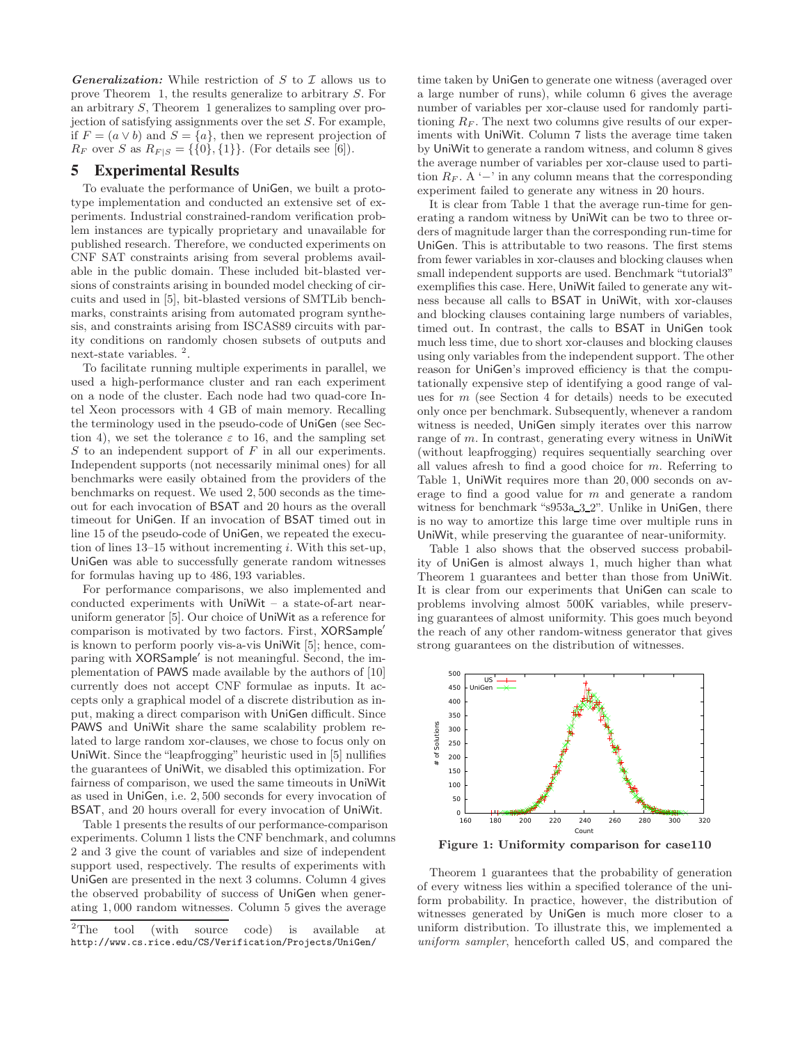**Generalization:** While restriction of S to  $\mathcal I$  allows us to prove Theorem [1,](#page-3-1) the results generalize to arbitrary S. For an arbitrary S, Theorem [1](#page-3-1) generalizes to sampling over projection of satisfying assignments over the set  $S$ . For example, if  $F = (a \vee b)$  and  $S = \{a\}$ , then we represent projection of  $R_F$  over S as  $R_{F|S} = \{\{0\},\{1\}\}\$ . (For details see [\[6\]](#page-5-2)).

# 5 Experimental Results

To evaluate the performance of UniGen, we built a prototype implementation and conducted an extensive set of experiments. Industrial constrained-random verification problem instances are typically proprietary and unavailable for published research. Therefore, we conducted experiments on CNF SAT constraints arising from several problems available in the public domain. These included bit-blasted versions of constraints arising in bounded model checking of circuits and used in [\[5\]](#page-5-12), bit-blasted versions of SMTLib benchmarks, constraints arising from automated program synthesis, and constraints arising from ISCAS89 circuits with parity conditions on randomly chosen subsets of outputs and next-state variables.  $^2.$  $^2.$  $^2.$ 

To facilitate running multiple experiments in parallel, we used a high-performance cluster and ran each experiment on a node of the cluster. Each node had two quad-core Intel Xeon processors with 4 GB of main memory. Recalling the terminology used in the pseudo-code of UniGen (see Sec-tion [4\)](#page-2-0), we set the tolerance  $\varepsilon$  to 16, and the sampling set  $S$  to an independent support of  $F$  in all our experiments. Independent supports (not necessarily minimal ones) for all benchmarks were easily obtained from the providers of the benchmarks on request. We used 2, 500 seconds as the timeout for each invocation of BSAT and 20 hours as the overall timeout for UniGen. If an invocation of BSAT timed out in line 15 of the pseudo-code of UniGen, we repeated the execution of lines  $13-15$  without incrementing i. With this set-up, UniGen was able to successfully generate random witnesses for formulas having up to 486, 193 variables.

For performance comparisons, we also implemented and conducted experiments with UniWit – a state-of-art nearuniform generator [\[5\]](#page-5-12). Our choice of UniWit as a reference for comparison is motivated by two factors. First, XORSample′ is known to perform poorly vis-a-vis UniWit [\[5\]](#page-5-12); hence, comparing with XORSample′ is not meaningful. Second, the implementation of PAWS made available by the authors of [\[10\]](#page-5-13) currently does not accept CNF formulae as inputs. It accepts only a graphical model of a discrete distribution as input, making a direct comparison with UniGen difficult. Since PAWS and UniWit share the same scalability problem related to large random xor-clauses, we chose to focus only on UniWit. Since the "leapfrogging" heuristic used in [\[5\]](#page-5-12) nullifies the guarantees of UniWit, we disabled this optimization. For fairness of comparison, we used the same timeouts in UniWit as used in UniGen, i.e. 2, 500 seconds for every invocation of BSAT, and 20 hours overall for every invocation of UniWit.

Table [1](#page-5-25) presents the results of our performance-comparison experiments. Column 1 lists the CNF benchmark, and columns 2 and 3 give the count of variables and size of independent support used, respectively. The results of experiments with UniGen are presented in the next 3 columns. Column 4 gives the observed probability of success of UniGen when generating 1, 000 random witnesses. Column 5 gives the average

time taken by UniGen to generate one witness (averaged over a large number of runs), while column 6 gives the average number of variables per xor-clause used for randomly partitioning  $R_F$ . The next two columns give results of our experiments with UniWit. Column 7 lists the average time taken by UniWit to generate a random witness, and column 8 gives the average number of variables per xor-clause used to partition  $R_F$ . A '−' in any column means that the corresponding experiment failed to generate any witness in 20 hours.

It is clear from Table [1](#page-5-25) that the average run-time for generating a random witness by UniWit can be two to three orders of magnitude larger than the corresponding run-time for UniGen. This is attributable to two reasons. The first stems from fewer variables in xor-clauses and blocking clauses when small independent supports are used. Benchmark "tutorial3" exemplifies this case. Here, UniWit failed to generate any witness because all calls to BSAT in UniWit, with xor-clauses and blocking clauses containing large numbers of variables, timed out. In contrast, the calls to BSAT in UniGen took much less time, due to short xor-clauses and blocking clauses using only variables from the independent support. The other reason for UniGen's improved efficiency is that the computationally expensive step of identifying a good range of values for m (see Section [4](#page-2-0) for details) needs to be executed only once per benchmark. Subsequently, whenever a random witness is needed, UniGen simply iterates over this narrow range of m. In contrast, generating every witness in UniWit (without leapfrogging) requires sequentially searching over all values afresh to find a good choice for m. Referring to Table [1,](#page-5-25) UniWit requires more than 20, 000 seconds on average to find a good value for m and generate a random witness for benchmark "s953a\_3\_2". Unlike in UniGen, there is no way to amortize this large time over multiple runs in UniWit, while preserving the guarantee of near-uniformity.

Table [1](#page-5-25) also shows that the observed success probability of UniGen is almost always 1, much higher than what Theorem [1](#page-3-1) guarantees and better than those from UniWit. It is clear from our experiments that UniGen can scale to problems involving almost 500K variables, while preserving guarantees of almost uniformity. This goes much beyond the reach of any other random-witness generator that gives strong guarantees on the distribution of witnesses.



<span id="page-4-1"></span>Figure 1: Uniformity comparison for case110

Theorem [1](#page-3-1) guarantees that the probability of generation of every witness lies within a specified tolerance of the uniform probability. In practice, however, the distribution of witnesses generated by UniGen is much more closer to a uniform distribution. To illustrate this, we implemented a uniform sampler, henceforth called US, and compared the

<span id="page-4-0"></span><sup>&</sup>lt;sup>2</sup>The tool (with source code) is available at http://www.cs.rice.edu/CS/Verification/Projects/UniGen/